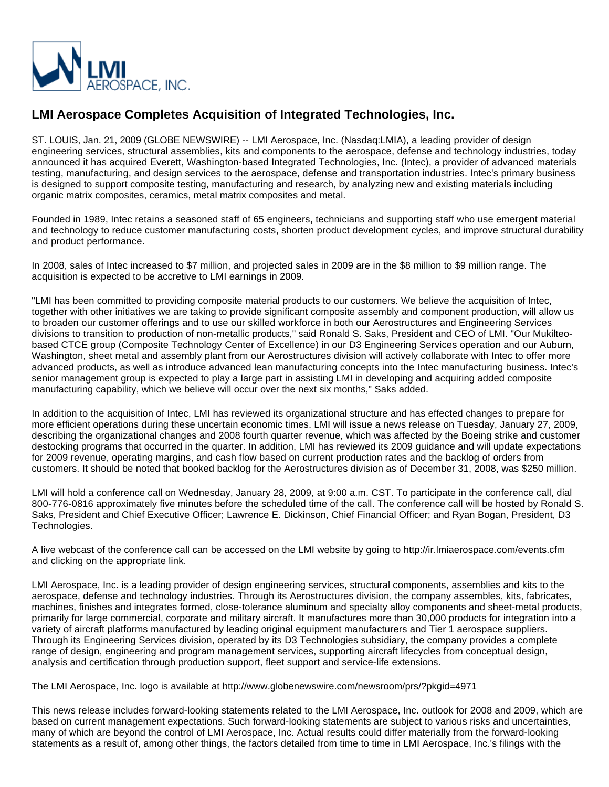

## **LMI Aerospace Completes Acquisition of Integrated Technologies, Inc.**

ST. LOUIS, Jan. 21, 2009 (GLOBE NEWSWIRE) -- LMI Aerospace, Inc. (Nasdaq:LMIA), a leading provider of design engineering services, structural assemblies, kits and components to the aerospace, defense and technology industries, today announced it has acquired Everett, Washington-based Integrated Technologies, Inc. (Intec), a provider of advanced materials testing, manufacturing, and design services to the aerospace, defense and transportation industries. Intec's primary business is designed to support composite testing, manufacturing and research, by analyzing new and existing materials including organic matrix composites, ceramics, metal matrix composites and metal.

Founded in 1989, Intec retains a seasoned staff of 65 engineers, technicians and supporting staff who use emergent material and technology to reduce customer manufacturing costs, shorten product development cycles, and improve structural durability and product performance.

In 2008, sales of Intec increased to \$7 million, and projected sales in 2009 are in the \$8 million to \$9 million range. The acquisition is expected to be accretive to LMI earnings in 2009.

"LMI has been committed to providing composite material products to our customers. We believe the acquisition of Intec, together with other initiatives we are taking to provide significant composite assembly and component production, will allow us to broaden our customer offerings and to use our skilled workforce in both our Aerostructures and Engineering Services divisions to transition to production of non-metallic products," said Ronald S. Saks, President and CEO of LMI. "Our Mukilteobased CTCE group (Composite Technology Center of Excellence) in our D3 Engineering Services operation and our Auburn, Washington, sheet metal and assembly plant from our Aerostructures division will actively collaborate with Intec to offer more advanced products, as well as introduce advanced lean manufacturing concepts into the Intec manufacturing business. Intec's senior management group is expected to play a large part in assisting LMI in developing and acquiring added composite manufacturing capability, which we believe will occur over the next six months," Saks added.

In addition to the acquisition of Intec, LMI has reviewed its organizational structure and has effected changes to prepare for more efficient operations during these uncertain economic times. LMI will issue a news release on Tuesday, January 27, 2009, describing the organizational changes and 2008 fourth quarter revenue, which was affected by the Boeing strike and customer destocking programs that occurred in the quarter. In addition, LMI has reviewed its 2009 guidance and will update expectations for 2009 revenue, operating margins, and cash flow based on current production rates and the backlog of orders from customers. It should be noted that booked backlog for the Aerostructures division as of December 31, 2008, was \$250 million.

LMI will hold a conference call on Wednesday, January 28, 2009, at 9:00 a.m. CST. To participate in the conference call, dial 800-776-0816 approximately five minutes before the scheduled time of the call. The conference call will be hosted by Ronald S. Saks, President and Chief Executive Officer; Lawrence E. Dickinson, Chief Financial Officer; and Ryan Bogan, President, D3 Technologies.

A live webcast of the conference call can be accessed on the LMI website by going to http://ir.lmiaerospace.com/events.cfm and clicking on the appropriate link.

LMI Aerospace, Inc. is a leading provider of design engineering services, structural components, assemblies and kits to the aerospace, defense and technology industries. Through its Aerostructures division, the company assembles, kits, fabricates, machines, finishes and integrates formed, close-tolerance aluminum and specialty alloy components and sheet-metal products, primarily for large commercial, corporate and military aircraft. It manufactures more than 30,000 products for integration into a variety of aircraft platforms manufactured by leading original equipment manufacturers and Tier 1 aerospace suppliers. Through its Engineering Services division, operated by its D3 Technologies subsidiary, the company provides a complete range of design, engineering and program management services, supporting aircraft lifecycles from conceptual design, analysis and certification through production support, fleet support and service-life extensions.

The LMI Aerospace, Inc. logo is available at http://www.globenewswire.com/newsroom/prs/?pkgid=4971

This news release includes forward-looking statements related to the LMI Aerospace, Inc. outlook for 2008 and 2009, which are based on current management expectations. Such forward-looking statements are subject to various risks and uncertainties, many of which are beyond the control of LMI Aerospace, Inc. Actual results could differ materially from the forward-looking statements as a result of, among other things, the factors detailed from time to time in LMI Aerospace, Inc.'s filings with the